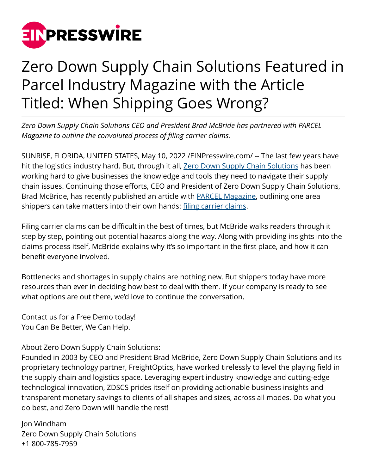

## Zero Down Supply Chain Solutions Featured in Parcel Industry Magazine with the Article Titled: When Shipping Goes Wrong?

*Zero Down Supply Chain Solutions CEO and President Brad McBride has partnered with PARCEL Magazine to outline the convoluted process of filing carrier claims.*

SUNRISE, FLORIDA, UNITED STATES, May 10, 2022 [/EINPresswire.com/](http://www.einpresswire.com) -- The last few years have hit the logistics industry hard. But, through it all, [Zero Down Supply Chain Solutions](https://zdscs.com/) has been working hard to give businesses the knowledge and tools they need to navigate their supply chain issues. Continuing those efforts, CEO and President of Zero Down Supply Chain Solutions, Brad McBride, has recently published an article with **PARCEL Magazine**, outlining one area shippers can take matters into their own hands: [filing carrier claims.](https://zdscs.com/services/parcel-claims/)

Filing carrier claims can be difficult in the best of times, but McBride walks readers through it step by step, pointing out potential hazards along the way. Along with providing insights into the claims process itself, McBride explains why it's so important in the first place, and how it can benefit everyone involved.

Bottlenecks and shortages in supply chains are nothing new. But shippers today have more resources than ever in deciding how best to deal with them. If your company is ready to see what options are out there, we'd love to continue the conversation.

Contact us for a Free Demo today! You Can Be Better, We Can Help.

About Zero Down Supply Chain Solutions:

Founded in 2003 by CEO and President Brad McBride, Zero Down Supply Chain Solutions and its proprietary technology partner, FreightOptics, have worked tirelessly to level the playing field in the supply chain and logistics space. Leveraging expert industry knowledge and cutting-edge technological innovation, ZDSCS prides itself on providing actionable business insights and transparent monetary savings to clients of all shapes and sizes, across all modes. Do what you do best, and Zero Down will handle the rest!

Jon Windham Zero Down Supply Chain Solutions +1 800-785-7959